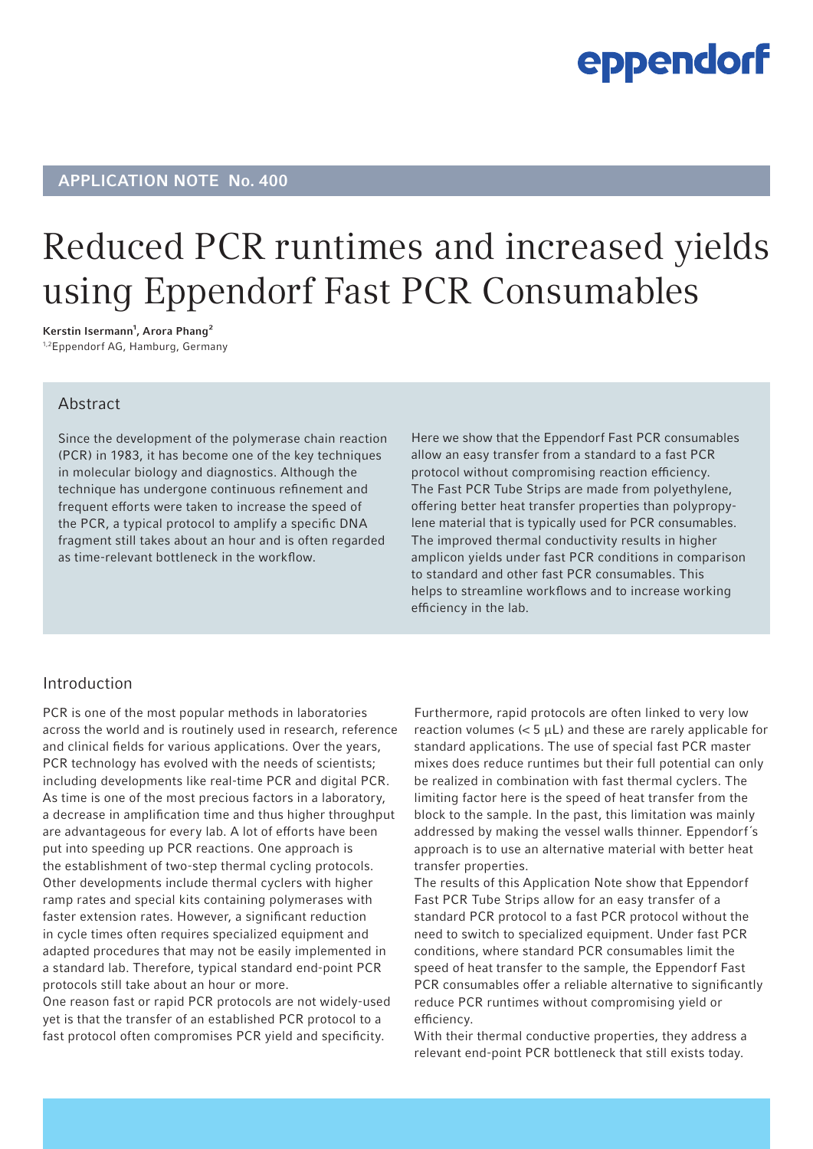## eppendorf

## APPLICATION NOTE No. 400

## Reduced PCR runtimes and increased yields using Eppendorf Fast PCR Consumables

Kerstin Isermann<sup>1</sup>, Arora Phang<sup>2</sup> 1,2Eppendorf AG, Hamburg, Germany

## Abstract

Since the development of the polymerase chain reaction (PCR) in 1983, it has become one of the key techniques in molecular biology and diagnostics. Although the technique has undergone continuous refinement and frequent efforts were taken to increase the speed of the PCR, a typical protocol to amplify a specific DNA fragment still takes about an hour and is often regarded as time-relevant bottleneck in the workflow.

Here we show that the Eppendorf Fast PCR consumables allow an easy transfer from a standard to a fast PCR protocol without compromising reaction efficiency. The Fast PCR Tube Strips are made from polyethylene, offering better heat transfer properties than polypropylene material that is typically used for PCR consumables. The improved thermal conductivity results in higher amplicon yields under fast PCR conditions in comparison to standard and other fast PCR consumables. This helps to streamline workflows and to increase working efficiency in the lab.

### Introduction

PCR is one of the most popular methods in laboratories across the world and is routinely used in research, reference and clinical fields for various applications. Over the years, PCR technology has evolved with the needs of scientists; including developments like real-time PCR and digital PCR. As time is one of the most precious factors in a laboratory, a decrease in amplification time and thus higher throughput are advantageous for every lab. A lot of efforts have been put into speeding up PCR reactions. One approach is the establishment of two-step thermal cycling protocols. Other developments include thermal cyclers with higher ramp rates and special kits containing polymerases with faster extension rates. However, a significant reduction in cycle times often requires specialized equipment and adapted procedures that may not be easily implemented in a standard lab. Therefore, typical standard end-point PCR protocols still take about an hour or more.

One reason fast or rapid PCR protocols are not widely-used yet is that the transfer of an established PCR protocol to a fast protocol often compromises PCR yield and specificity.

Furthermore, rapid protocols are often linked to very low reaction volumes  $(< 5 \mu L$ ) and these are rarely applicable for standard applications. The use of special fast PCR master mixes does reduce runtimes but their full potential can only be realized in combination with fast thermal cyclers. The limiting factor here is the speed of heat transfer from the block to the sample. In the past, this limitation was mainly addressed by making the vessel walls thinner. Eppendorf´s approach is to use an alternative material with better heat transfer properties.

The results of this Application Note show that Eppendorf Fast PCR Tube Strips allow for an easy transfer of a standard PCR protocol to a fast PCR protocol without the need to switch to specialized equipment. Under fast PCR conditions, where standard PCR consumables limit the speed of heat transfer to the sample, the Eppendorf Fast PCR consumables offer a reliable alternative to significantly reduce PCR runtimes without compromising yield or efficiency.

With their thermal conductive properties, they address a relevant end-point PCR bottleneck that still exists today.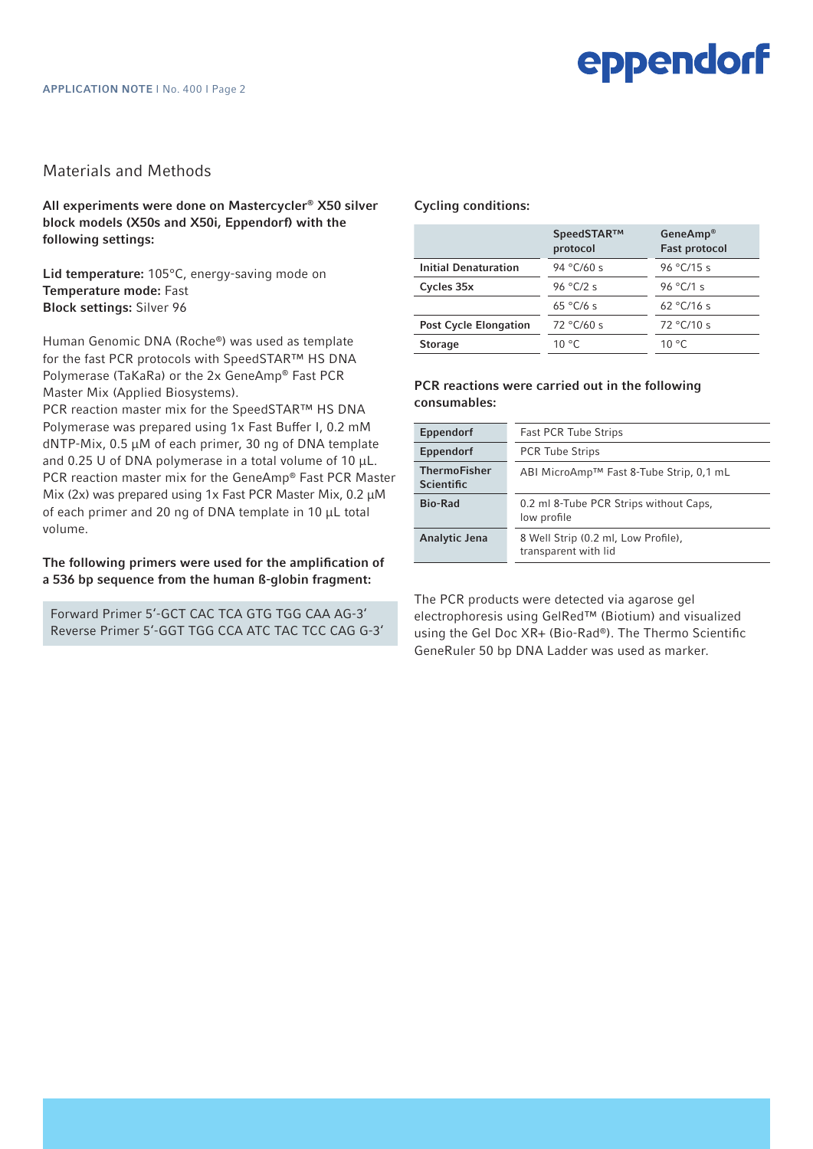### Materials and Methods

All experiments were done on Mastercycler® X50 silver block models (X50s and X50i, Eppendorf) with the following settings:

Lid temperature: 105°C, energy-saving mode on Temperature mode: Fast Block settings: Silver 96

Human Genomic DNA (Roche®) was used as template for the fast PCR protocols with SpeedSTAR™ HS DNA Polymerase (TaKaRa) or the 2x GeneAmp® Fast PCR Master Mix (Applied Biosystems).

PCR reaction master mix for the SpeedSTAR™ HS DNA Polymerase was prepared using 1x Fast Buffer I, 0.2 mM dNTP-Mix, 0.5 µM of each primer, 30 ng of DNA template and 0.25 U of DNA polymerase in a total volume of 10  $\mu$ L. PCR reaction master mix for the GeneAmp® Fast PCR Master Mix (2x) was prepared using 1x Fast PCR Master Mix, 0.2  $\mu$ M of each primer and 20 ng of DNA template in 10 µL total volume.

#### The following primers were used for the amplification of a 536 bp sequence from the human ß-globin fragment:

Forward Primer 5'-GCT CAC TCA GTG TGG CAA AG-3' Reverse Primer 5'-GGT TGG CCA ATC TAC TCC CAG G-3'

#### Cycling conditions:

| SpeedSTAR™<br>protocol | GeneAmp <sup>®</sup><br><b>Fast protocol</b> |
|------------------------|----------------------------------------------|
| 94 °C/60 s             | 96 °C/15 s                                   |
| 96 °C/2 s              | 96 °C/1 s                                    |
| $65^{\circ}$ C/6 s     | 62 °C/16 s                                   |
| 72 °C/60 s             | 72 °C/10 s                                   |
| $10^{\circ}$ C         | $10^{\circ}$ C                               |
|                        |                                              |

#### PCR reactions were carried out in the following consumables:

| Eppendorf                                | <b>Fast PCR Tube Strips</b>                                 |
|------------------------------------------|-------------------------------------------------------------|
| Eppendorf                                | <b>PCR Tube Strips</b>                                      |
| <b>ThermoFisher</b><br><b>Scientific</b> | ABI MicroAmp™ Fast 8-Tube Strip, 0,1 mL                     |
| <b>Bio-Rad</b>                           | 0.2 ml 8-Tube PCR Strips without Caps.<br>low profile       |
| Analytic Jena                            | 8 Well Strip (0.2 ml, Low Profile),<br>transparent with lid |
|                                          |                                                             |

The PCR products were detected via agarose gel electrophoresis using GelRed™ (Biotium) and visualized using the Gel Doc XR+ (Bio-Rad®). The Thermo Scientific GeneRuler 50 bp DNA Ladder was used as marker.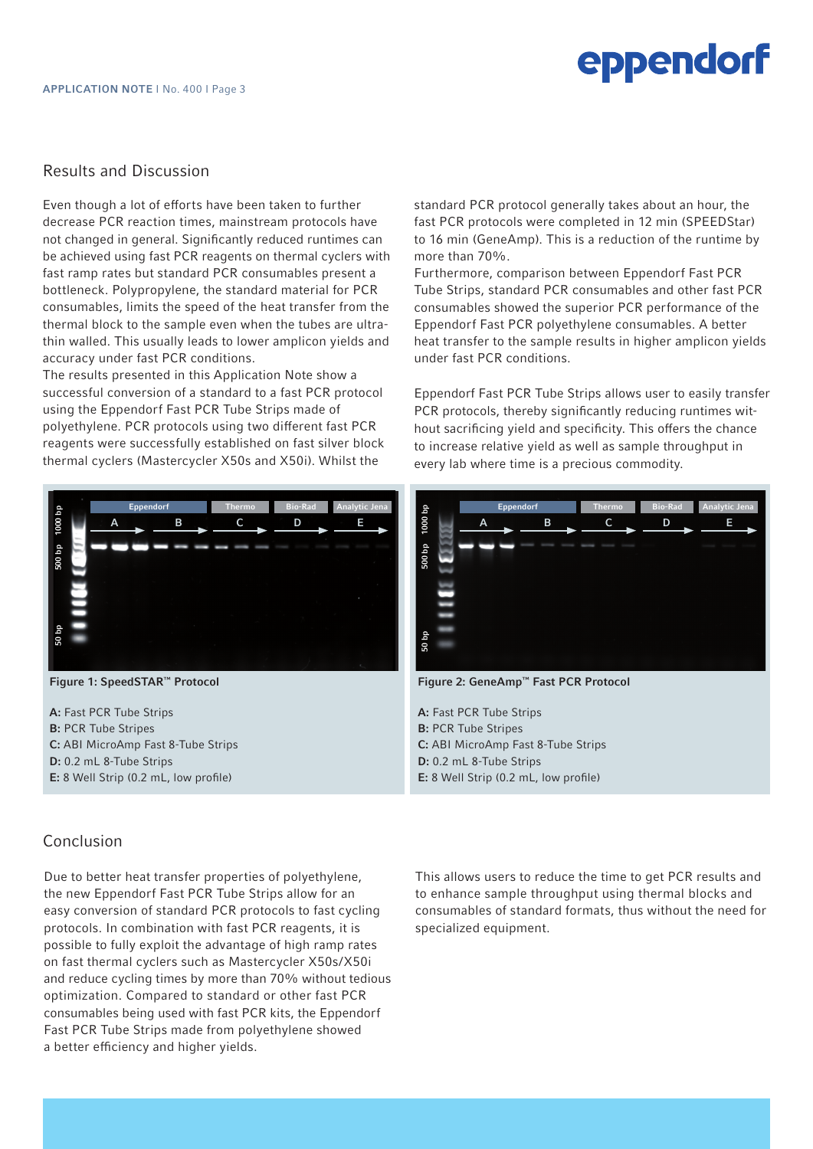# eppendorf

## Results and Discussion

Even though a lot of efforts have been taken to further decrease PCR reaction times, mainstream protocols have not changed in general. Significantly reduced runtimes can be achieved using fast PCR reagents on thermal cyclers with fast ramp rates but standard PCR consumables present a bottleneck. Polypropylene, the standard material for PCR consumables, limits the speed of the heat transfer from the thermal block to the sample even when the tubes are ultrathin walled. This usually leads to lower amplicon yields and accuracy under fast PCR conditions.

The results presented in this Application Note show a successful conversion of a standard to a fast PCR protocol using the Eppendorf Fast PCR Tube Strips made of polyethylene. PCR protocols using two different fast PCR reagents were successfully established on fast silver block thermal cyclers (Mastercycler X50s and X50i). Whilst the



Figure 1: SpeedSTAR™ Protocol

A: Fast PCR Tube Strips B: PCR Tube Stripes C: ABI MicroAmp Fast 8-Tube Strips D: 0.2 mL 8-Tube Strips E: 8 Well Strip (0.2 mL, low profile)

standard PCR protocol generally takes about an hour, the fast PCR protocols were completed in 12 min (SPEEDStar) to 16 min (GeneAmp). This is a reduction of the runtime by more than 70%.

Furthermore, comparison between Eppendorf Fast PCR Tube Strips, standard PCR consumables and other fast PCR consumables showed the superior PCR performance of the Eppendorf Fast PCR polyethylene consumables. A better heat transfer to the sample results in higher amplicon yields under fast PCR conditions.

Eppendorf Fast PCR Tube Strips allows user to easily transfer PCR protocols, thereby significantly reducing runtimes without sacrificing yield and specificity. This offers the chance to increase relative yield as well as sample throughput in every lab where time is a precious commodity.



Figure 2: GeneAmp™ Fast PCR Protocol

A: Fast PCR Tube Strips B: PCR Tube Stripes C: ABI MicroAmp Fast 8-Tube Strips D: 0.2 mL 8-Tube Strips E: 8 Well Strip (0.2 mL, low profile)

## Conclusion

Due to better heat transfer properties of polyethylene, the new Eppendorf Fast PCR Tube Strips allow for an easy conversion of standard PCR protocols to fast cycling protocols. In combination with fast PCR reagents, it is possible to fully exploit the advantage of high ramp rates on fast thermal cyclers such as Mastercycler X50s/X50i and reduce cycling times by more than 70% without tedious optimization. Compared to standard or other fast PCR consumables being used with fast PCR kits, the Eppendorf Fast PCR Tube Strips made from polyethylene showed a better efficiency and higher yields.

This allows users to reduce the time to get PCR results and to enhance sample throughput using thermal blocks and consumables of standard formats, thus without the need for specialized equipment.